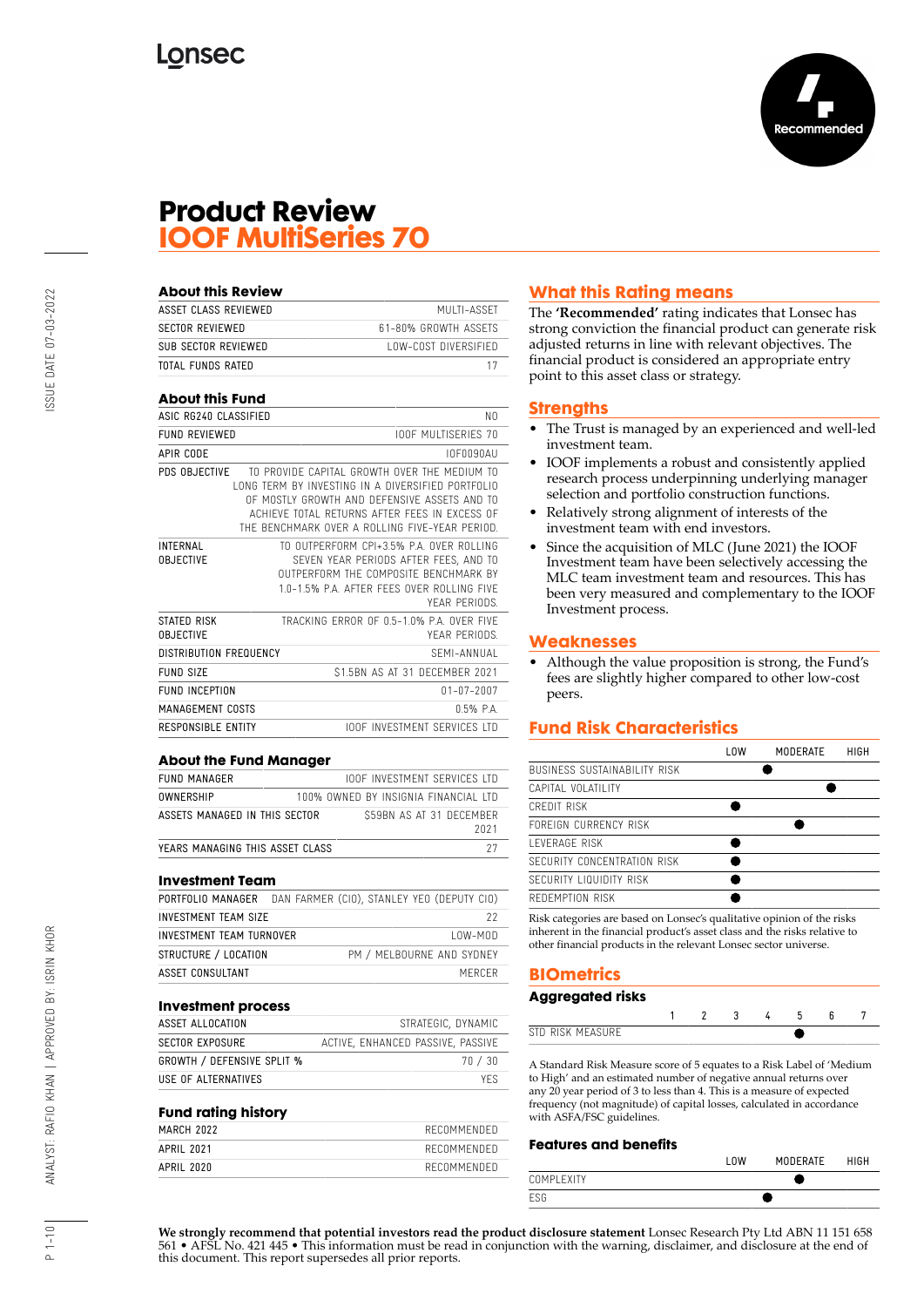

## **Product Review IOOF MultiSeries 70**

| About this Review                   |                                                                                                                                                                                                                                                      |
|-------------------------------------|------------------------------------------------------------------------------------------------------------------------------------------------------------------------------------------------------------------------------------------------------|
| ASSET CLASS REVIEWED                | MUITI-ASSFT                                                                                                                                                                                                                                          |
| <b>SECTOR REVIEWED</b>              | 61-80% GROWTH ASSETS                                                                                                                                                                                                                                 |
| SUB SECTOR REVIEWED                 | LOW-COST DIVERSIFIED                                                                                                                                                                                                                                 |
| <b>TOTAL FUNDS RATED</b>            | 17                                                                                                                                                                                                                                                   |
| <b>About this Fund</b>              |                                                                                                                                                                                                                                                      |
| ASIC RG240 CLASSIFIED               | N0                                                                                                                                                                                                                                                   |
| <b>FUND REVIEWED</b>                | <b>IOOF MULTISERIES 70</b>                                                                                                                                                                                                                           |
| APIR CODE                           | IOF0090AU                                                                                                                                                                                                                                            |
| PDS OBJECTIVE                       | TO PROVIDE CAPITAL GROWTH OVER THE MEDIUM TO<br>LONG TERM BY INVESTING IN A DIVERSIFIED PORTFOLIO<br>OF MOSTLY GROWTH AND DEFENSIVE ASSETS AND TO<br>ACHIEVE TOTAL RETURNS AFTER FEES IN EXCESS OF<br>THE BENCHMARK OVER A ROLLING FIVE-YEAR PERIOD. |
| <b>INTERNAL</b><br><b>OBJECTIVE</b> | TO OUTPERFORM CPI+3.5% P.A. OVER ROLLING<br>SEVEN YEAR PERIODS AFTER FEES. AND TO<br>OUTPERFORM THE COMPOSITE BENCHMARK BY<br>1.0-1.5% P.A. AFTER FFFS OVER ROLLING FIVE<br>YEAR PERIODS.                                                            |
| STATED RISK<br><b>OBJECTIVE</b>     | TRACKING FRROR OF 0.5-1.0% P.A. OVER FIVE<br>YEAR PERIODS.                                                                                                                                                                                           |
| DISTRIBUTION FREQUENCY              | SFMI-ANNUAL                                                                                                                                                                                                                                          |
| FUND SIZE                           | \$1.5BN AS AT 31 DECEMBER 2021                                                                                                                                                                                                                       |
| <b>FUND INCEPTION</b>               | $01 - 07 - 2007$                                                                                                                                                                                                                                     |
| MANAGEMENT COSTS                    | $0.5%$ $PA$                                                                                                                                                                                                                                          |
| RESPONSIBLE ENTITY                  | <b>IOOF INVESTMENT SERVICES LTD</b>                                                                                                                                                                                                                  |

| ADOUI IIIU I UIIU MUIIUNUI      |                                      |  |      |
|---------------------------------|--------------------------------------|--|------|
| FUND MANAGER                    | <b>IOOF INVESTMENT SERVICES LTD</b>  |  |      |
| OWNERSHIP                       | 100% OWNED BY INSIGNIA FINANCIAL LTD |  |      |
| ASSETS MANAGED IN THIS SECTOR   | S59BN AS AT 31 DECEMBER              |  | 2021 |
| YEARS MANAGING THIS ASSET CLASS |                                      |  |      |

#### **Investment Team**

|                          | PORTFOLIO MANAGER DAN FARMER (CIO), STANLEY YEO (DEPUTY CIO) |
|--------------------------|--------------------------------------------------------------|
| INVESTMENT TEAM SIZE     | 22                                                           |
| INVESTMENT TEAM TURNOVER | $10W-M0D$                                                    |
| STRUCTURE / LOCATION     | PM / MELBOURNE AND SYDNEY                                    |
| ASSET CONSULTANT         | MERCER                                                       |

#### **Investment process**

| ASSET ALLOCATION                  | STRATEGIC, DYNAMIC                |
|-----------------------------------|-----------------------------------|
| SECTOR EXPOSURE                   | ACTIVE, ENHANCED PASSIVE, PASSIVE |
| <b>GROWTH / DEFENSIVE SPLIT %</b> | 70/30                             |
| USE OF ALTERNATIVES               | YFS.                              |

#### **Fund rating history**

| MARCH 2022 | RECOMMENDED |
|------------|-------------|
| APRIL 2021 | RECOMMENDED |
| APRIL 2020 | RECOMMENDED |
|            |             |

## **What this Rating means**

The **'Recommended'** rating indicates that Lonsec has strong conviction the financial product can generate risk adjusted returns in line with relevant objectives. The financial product is considered an appropriate entry point to this asset class or strategy.

#### **Strengths**

- The Trust is managed by an experienced and well-led investment team.
- IOOF implements a robust and consistently applied research process underpinning underlying manager selection and portfolio construction functions.
- Relatively strong alignment of interests of the investment team with end investors.
- Since the acquisition of MLC (June 2021) the IOOF Investment team have been selectively accessing the MLC team investment team and resources. This has been very measured and complementary to the IOOF Investment process.

#### **Weaknesses**

• Although the value proposition is strong, the Fund's fees are slightly higher compared to other low-cost peers.

## **Fund Risk Characteristics**

|                              | LOW | MODERATE | HIGH |
|------------------------------|-----|----------|------|
| BUSINESS SUSTAINABILITY RISK |     |          |      |
| CAPITAL VOLATILITY           |     |          |      |
| CREDIT RISK                  |     |          |      |
| FOREIGN CURRENCY RISK        |     |          |      |
| <b>I FVFRAGF RISK</b>        |     |          |      |
| SECURITY CONCENTRATION RISK  |     |          |      |
| SECURITY LIQUIDITY RISK      |     |          |      |
| REDEMPTION RISK              |     |          |      |
|                              |     |          |      |

Risk categories are based on Lonsec's qualitative opinion of the risks inherent in the financial product's asset class and the risks relative to other financial products in the relevant Lonsec sector universe.

## **BIOmetrics**

## **Aggregated risks**

| ЮT |  |  |  |  |
|----|--|--|--|--|

A Standard Risk Measure score of 5 equates to a Risk Label of 'Medium to High' and an estimated number of negative annual returns over any 20 year period of 3 to less than 4. This is a measure of expected frequency (not magnitude) of capital losses, calculated in accordance with ASFA/FSC guidelines.

#### **Features and benefits**

|            | ' UM | MODERATE | <b>HIGH</b> |
|------------|------|----------|-------------|
| COMPLEXITY |      |          |             |
| ESG        |      |          |             |

**We strongly recommend that potential investors read the product disclosure statement** Lonsec Research Pty Ltd ABN 11 151 658 561 • AFSL No. 421 445 • This information must be read in conjunction with the warning, disclaimer, and disclosure at the end of this document. This report supersedes all prior reports.

 $1 - 10$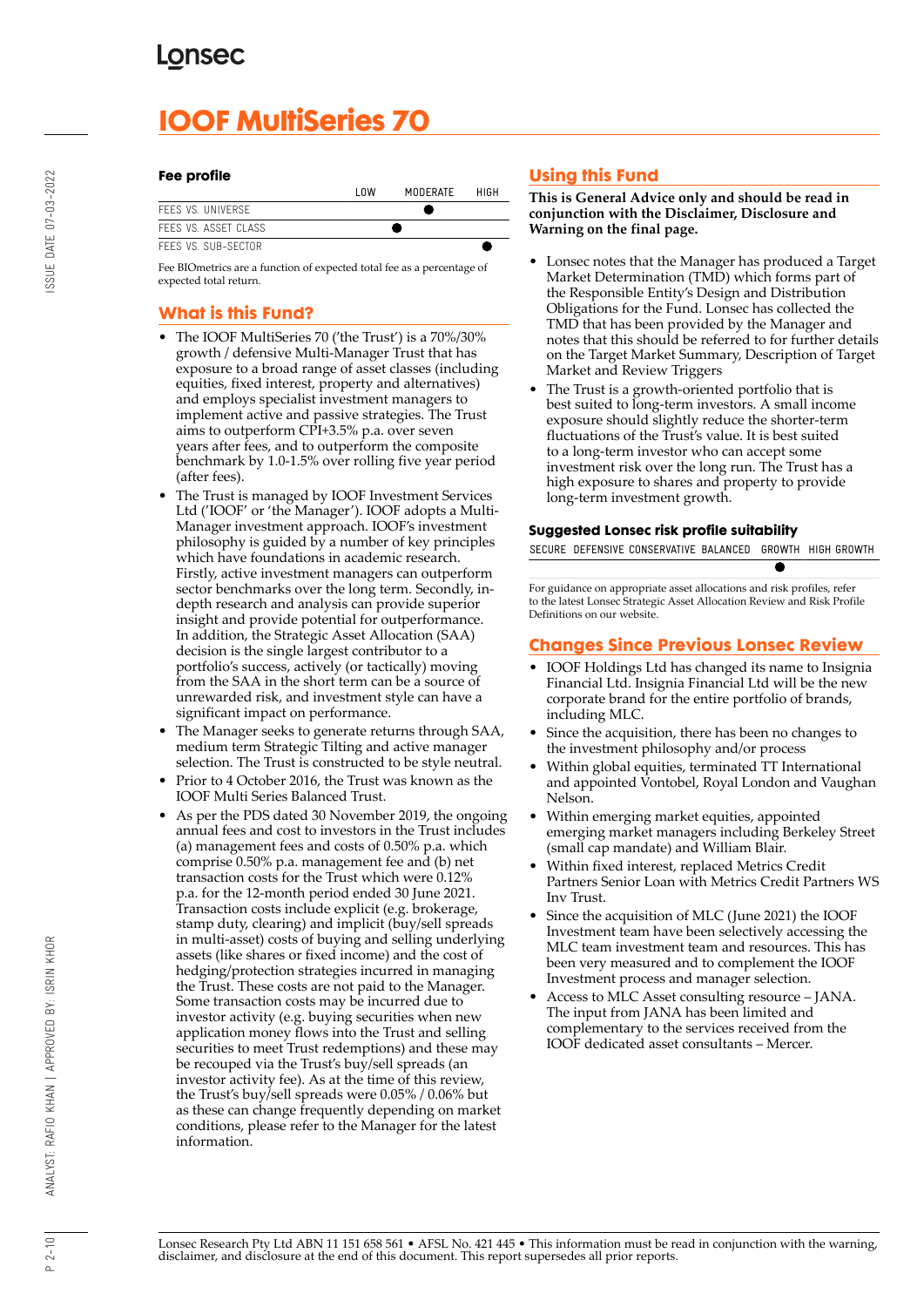# **IOOF MultiSeries 70**

#### **Fee profile**

|                      | l nw | MODERATE | HIGH |
|----------------------|------|----------|------|
| FFFS VS. UNIVERSE    |      |          |      |
| FFFS VS. ASSFT CLASS |      |          |      |
| FFFS VS. SUB-SECTOR  |      |          |      |

Fee BIOmetrics are a function of expected total fee as a percentage of expected total return.

## **What is this Fund?**

- The IOOF MultiSeries 70 ('the Trust') is a 70%/30% growth / defensive Multi-Manager Trust that has exposure to a broad range of asset classes (including equities, fixed interest, property and alternatives) and employs specialist investment managers to implement active and passive strategies. The Trust aims to outperform CPI+3.5% p.a. over seven years after fees, and to outperform the composite benchmark by 1.0-1.5% over rolling five year period (after fees).
- The Trust is managed by IOOF Investment Services Ltd ('IOOF' or 'the Manager'). IOOF adopts a Multi-Manager investment approach. IOOF's investment philosophy is guided by a number of key principles which have foundations in academic research. Firstly, active investment managers can outperform sector benchmarks over the long term. Secondly, indepth research and analysis can provide superior insight and provide potential for outperformance. In addition, the Strategic Asset Allocation (SAA) decision is the single largest contributor to a portfolio's success, actively (or tactically) moving from the SAA in the short term can be a source of unrewarded risk, and investment style can have a significant impact on performance.
- The Manager seeks to generate returns through SAA, medium term Strategic Tilting and active manager selection. The Trust is constructed to be style neutral.
- Prior to 4 October 2016, the Trust was known as the IOOF Multi Series Balanced Trust.
- As per the PDS dated 30 November 2019, the ongoing annual fees and cost to investors in the Trust includes (a) management fees and costs of 0.50% p.a. which comprise 0.50% p.a. management fee and (b) net transaction costs for the Trust which were 0.12% p.a. for the 12-month period ended 30 June 2021. Transaction costs include explicit (e.g. brokerage, stamp duty, clearing) and implicit (buy/sell spreads in multi-asset) costs of buying and selling underlying assets (like shares or fixed income) and the cost of hedging/protection strategies incurred in managing the Trust. These costs are not paid to the Manager. Some transaction costs may be incurred due to investor activity (e.g. buying securities when new application money flows into the Trust and selling securities to meet Trust redemptions) and these may be recouped via the Trust's buy/sell spreads (an investor activity fee). As at the time of this review, the Trust's buy/sell spreads were 0.05% / 0.06% but as these can change frequently depending on market conditions, please refer to the Manager for the latest information.

## **Using this Fund**

**This is General Advice only and should be read in conjunction with the Disclaimer, Disclosure and Warning on the final page.**

- Lonsec notes that the Manager has produced a Target Market Determination (TMD) which forms part of the Responsible Entity's Design and Distribution Obligations for the Fund. Lonsec has collected the TMD that has been provided by the Manager and notes that this should be referred to for further details on the Target Market Summary, Description of Target Market and Review Triggers
- The Trust is a growth-oriented portfolio that is best suited to long-term investors. A small income exposure should slightly reduce the shorter-term fluctuations of the Trust's value. It is best suited to a long-term investor who can accept some investment risk over the long run. The Trust has a high exposure to shares and property to provide long-term investment growth.

#### **Suggested Lonsec risk profile suitability**

SECURE DEFENSIVE CONSERVATIVE BALANCED GROWTH HIGH GROWTH

For guidance on appropriate asset allocations and risk profiles, refer to the latest Lonsec Strategic Asset Allocation Review and Risk Profile Definitions on our website.

## **Changes Since Previous Lonsec Review**

- IOOF Holdings Ltd has changed its name to Insignia Financial Ltd. Insignia Financial Ltd will be the new corporate brand for the entire portfolio of brands, including MLC.
- Since the acquisition, there has been no changes to the investment philosophy and/or process
- Within global equities, terminated TT International and appointed Vontobel, Royal London and Vaughan Nelson.
- Within emerging market equities, appointed emerging market managers including Berkeley Street (small cap mandate) and William Blair.
- Within fixed interest, replaced Metrics Credit Partners Senior Loan with Metrics Credit Partners WS Inv Trust.
- Since the acquisition of MLC (June 2021) the IOOF Investment team have been selectively accessing the MLC team investment team and resources. This has been very measured and to complement the IOOF Investment process and manager selection.
- Access to MLC Asset consulting resource JANA. The input from JANA has been limited and complementary to the services received from the IOOF dedicated asset consultants – Mercer.

BY: ISRIN KHOR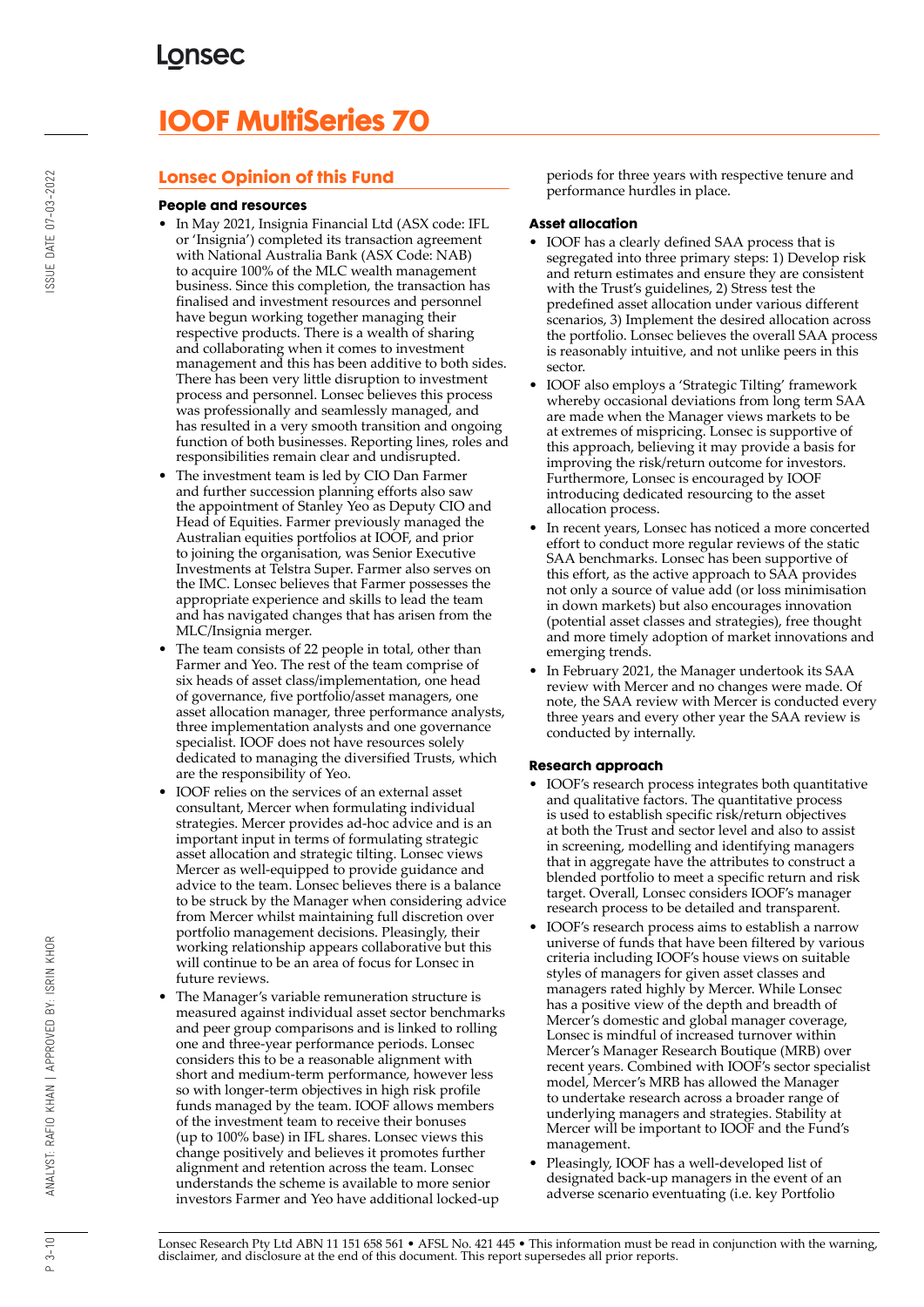# **IOOF MultiSeries 70**

## **Lonsec Opinion of this Fund**

#### **People and resources**

- In May 2021, Insignia Financial Ltd (ASX code: IFL or 'Insignia') completed its transaction agreement with National Australia Bank (ASX Code: NAB) to acquire 100% of the MLC wealth management business. Since this completion, the transaction has finalised and investment resources and personnel have begun working together managing their respective products. There is a wealth of sharing and collaborating when it comes to investment management and this has been additive to both sides. There has been very little disruption to investment process and personnel. Lonsec believes this process was professionally and seamlessly managed, and has resulted in a very smooth transition and ongoing function of both businesses. Reporting lines, roles and responsibilities remain clear and undisrupted.
- The investment team is led by CIO Dan Farmer and further succession planning efforts also saw the appointment of Stanley Yeo as Deputy CIO and Head of Equities. Farmer previously managed the Australian equities portfolios at IOOF, and prior to joining the organisation, was Senior Executive Investments at Telstra Super. Farmer also serves on the IMC. Lonsec believes that Farmer possesses the appropriate experience and skills to lead the team and has navigated changes that has arisen from the MLC/Insignia merger.
- The team consists of 22 people in total, other than Farmer and Yeo. The rest of the team comprise of six heads of asset class/implementation, one head of governance, five portfolio/asset managers, one asset allocation manager, three performance analysts, three implementation analysts and one governance specialist. IOOF does not have resources solely dedicated to managing the diversified Trusts, which are the responsibility of Yeo.
- IOOF relies on the services of an external asset consultant, Mercer when formulating individual strategies. Mercer provides ad-hoc advice and is an important input in terms of formulating strategic asset allocation and strategic tilting. Lonsec views Mercer as well-equipped to provide guidance and advice to the team. Lonsec believes there is a balance to be struck by the Manager when considering advice from Mercer whilst maintaining full discretion over portfolio management decisions. Pleasingly, their working relationship appears collaborative but this will continue to be an area of focus for Lonsec in future reviews.
- The Manager's variable remuneration structure is measured against individual asset sector benchmarks and peer group comparisons and is linked to rolling one and three-year performance periods. Lonsec considers this to be a reasonable alignment with short and medium-term performance, however less so with longer-term objectives in high risk profile funds managed by the team. IOOF allows members of the investment team to receive their bonuses (up to 100% base) in IFL shares. Lonsec views this change positively and believes it promotes further alignment and retention across the team. Lonsec understands the scheme is available to more senior investors Farmer and Yeo have additional locked-up

periods for three years with respective tenure and performance hurdles in place.

#### **Asset allocation**

- IOOF has a clearly defined SAA process that is segregated into three primary steps: 1) Develop risk and return estimates and ensure they are consistent with the Trust's guidelines, 2) Stress test the predefined asset allocation under various different scenarios, 3) Implement the desired allocation across the portfolio. Lonsec believes the overall SAA process is reasonably intuitive, and not unlike peers in this sector.
- IOOF also employs a 'Strategic Tilting' framework whereby occasional deviations from long term SAA are made when the Manager views markets to be at extremes of mispricing. Lonsec is supportive of this approach, believing it may provide a basis for improving the risk/return outcome for investors. Furthermore, Lonsec is encouraged by IOOF introducing dedicated resourcing to the asset allocation process.
- In recent years, Lonsec has noticed a more concerted effort to conduct more regular reviews of the static SAA benchmarks. Lonsec has been supportive of this effort, as the active approach to SAA provides not only a source of value add (or loss minimisation in down markets) but also encourages innovation (potential asset classes and strategies), free thought and more timely adoption of market innovations and emerging trends.
- In February 2021, the Manager undertook its SAA review with Mercer and no changes were made. Of note, the SAA review with Mercer is conducted every three years and every other year the SAA review is conducted by internally.

#### **Research approach**

- IOOF's research process integrates both quantitative and qualitative factors. The quantitative process is used to establish specific risk/return objectives at both the Trust and sector level and also to assist in screening, modelling and identifying managers that in aggregate have the attributes to construct a blended portfolio to meet a specific return and risk target. Overall, Lonsec considers IOOF's manager research process to be detailed and transparent.
- IOOF's research process aims to establish a narrow universe of funds that have been filtered by various criteria including IOOF's house views on suitable styles of managers for given asset classes and managers rated highly by Mercer. While Lonsec has a positive view of the depth and breadth of Mercer's domestic and global manager coverage, Lonsec is mindful of increased turnover within Mercer's Manager Research Boutique (MRB) over recent years. Combined with IOOF's sector specialist model, Mercer's MRB has allowed the Manager to undertake research across a broader range of underlying managers and strategies. Stability at Mercer will be important to IOOF and the Fund's management.
- Pleasingly, IOOF has a well-developed list of designated back-up managers in the event of an adverse scenario eventuating (i.e. key Portfolio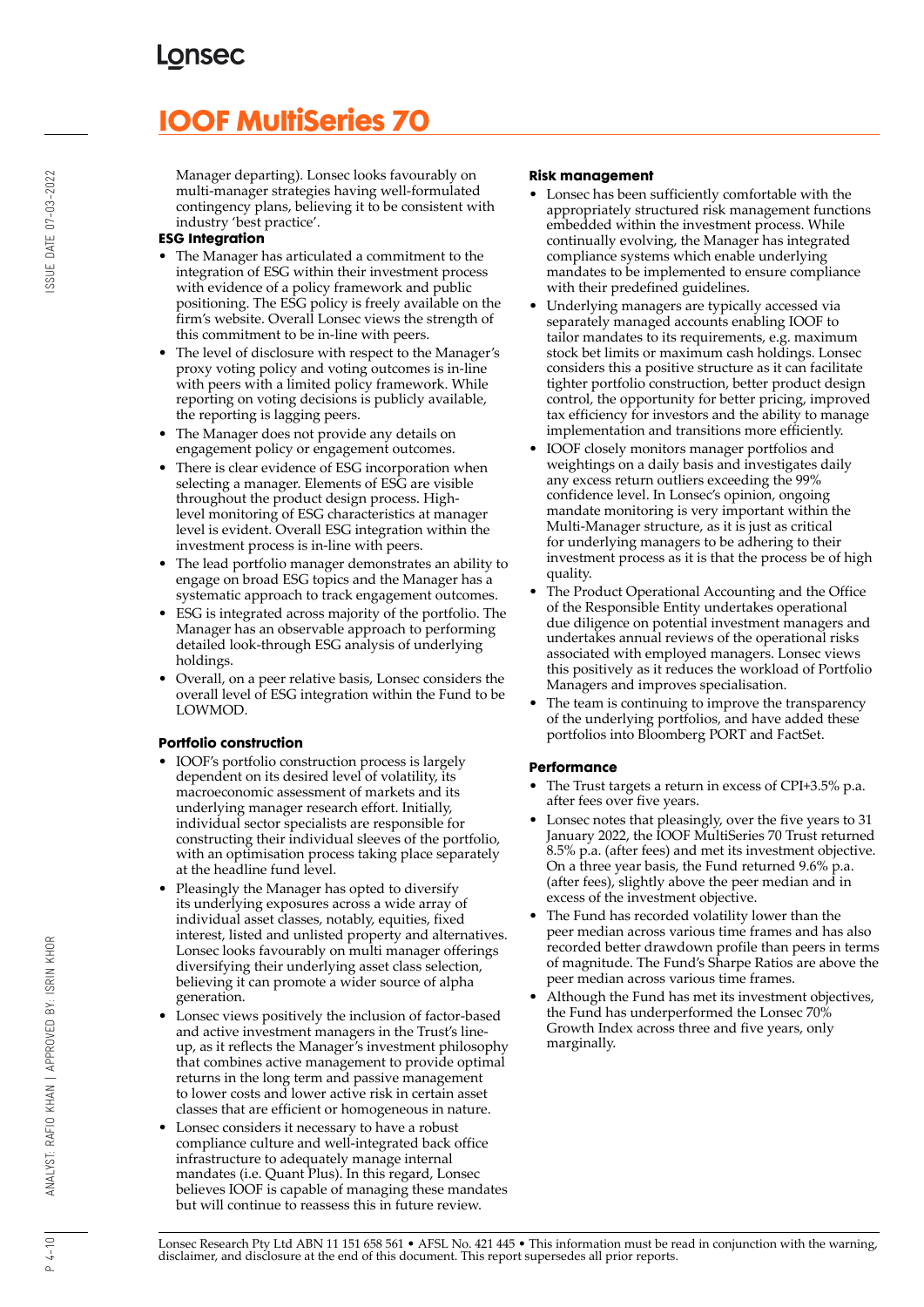# **IOOF MultiSeries 70**

Manager departing). Lonsec looks favourably on multi-manager strategies having well-formulated contingency plans, believing it to be consistent with industry 'best practice'.

#### **ESG Integration**

- The Manager has articulated a commitment to the integration of ESG within their investment process with evidence of a policy framework and public positioning. The ESG policy is freely available on the firm's website. Overall Lonsec views the strength of this commitment to be in-line with peers.
- The level of disclosure with respect to the Manager's proxy voting policy and voting outcomes is in-line with peers with a limited policy framework. While reporting on voting decisions is publicly available, the reporting is lagging peers.
- The Manager does not provide any details on engagement policy or engagement outcomes.
- There is clear evidence of ESG incorporation when selecting a manager. Elements of ESG are visible throughout the product design process. Highlevel monitoring of ESG characteristics at manager level is evident. Overall ESG integration within the investment process is in-line with peers.
- The lead portfolio manager demonstrates an ability to engage on broad ESG topics and the Manager has a systematic approach to track engagement outcomes.
- ESG is integrated across majority of the portfolio. The Manager has an observable approach to performing detailed look-through ESG analysis of underlying holdings.
- Overall, on a peer relative basis, Lonsec considers the overall level of ESG integration within the Fund to be LOWMOD.

#### **Portfolio construction**

- IOOF's portfolio construction process is largely dependent on its desired level of volatility, its macroeconomic assessment of markets and its underlying manager research effort. Initially, individual sector specialists are responsible for constructing their individual sleeves of the portfolio, with an optimisation process taking place separately at the headline fund level.
- Pleasingly the Manager has opted to diversify its underlying exposures across a wide array of individual asset classes, notably, equities, fixed interest, listed and unlisted property and alternatives. Lonsec looks favourably on multi manager offerings diversifying their underlying asset class selection, believing it can promote a wider source of alpha generation.
- Lonsec views positively the inclusion of factor-based and active investment managers in the Trust's lineup, as it reflects the Manager's investment philosophy that combines active management to provide optimal returns in the long term and passive management to lower costs and lower active risk in certain asset classes that are efficient or homogeneous in nature.
- Lonsec considers it necessary to have a robust compliance culture and well-integrated back office infrastructure to adequately manage internal mandates (i.e. Quant Plus). In this regard, Lonsec believes IOOF is capable of managing these mandates but will continue to reassess this in future review.

#### **Risk management**

- Lonsec has been sufficiently comfortable with the appropriately structured risk management functions embedded within the investment process. While continually evolving, the Manager has integrated compliance systems which enable underlying mandates to be implemented to ensure compliance with their predefined guidelines.
- Underlying managers are typically accessed via separately managed accounts enabling IOOF to tailor mandates to its requirements, e.g. maximum stock bet limits or maximum cash holdings. Lonsec considers this a positive structure as it can facilitate tighter portfolio construction, better product design control, the opportunity for better pricing, improved tax efficiency for investors and the ability to manage implementation and transitions more efficiently.
- IOOF closely monitors manager portfolios and weightings on a daily basis and investigates daily any excess return outliers exceeding the 99% confidence level. In Lonsec's opinion, ongoing mandate monitoring is very important within the Multi-Manager structure, as it is just as critical for underlying managers to be adhering to their investment process as it is that the process be of high quality.
- The Product Operational Accounting and the Office of the Responsible Entity undertakes operational due diligence on potential investment managers and undertakes annual reviews of the operational risks associated with employed managers. Lonsec views this positively as it reduces the workload of Portfolio Managers and improves specialisation.
- The team is continuing to improve the transparency of the underlying portfolios, and have added these portfolios into Bloomberg PORT and FactSet.

#### **Performance**

- The Trust targets a return in excess of CPI+3.5% p.a. after fees over five years.
- Lonsec notes that pleasingly, over the five years to 31 January 2022, the IOOF MultiSeries 70 Trust returned 8.5% p.a. (after fees) and met its investment objective. On a three year basis, the Fund returned 9.6% p.a. (after fees), slightly above the peer median and in excess of the investment objective.
- The Fund has recorded volatility lower than the peer median across various time frames and has also recorded better drawdown profile than peers in terms of magnitude. The Fund's Sharpe Ratios are above the peer median across various time frames.
- Although the Fund has met its investment objectives, the Fund has underperformed the Lonsec 70% Growth Index across three and five years, only marginally.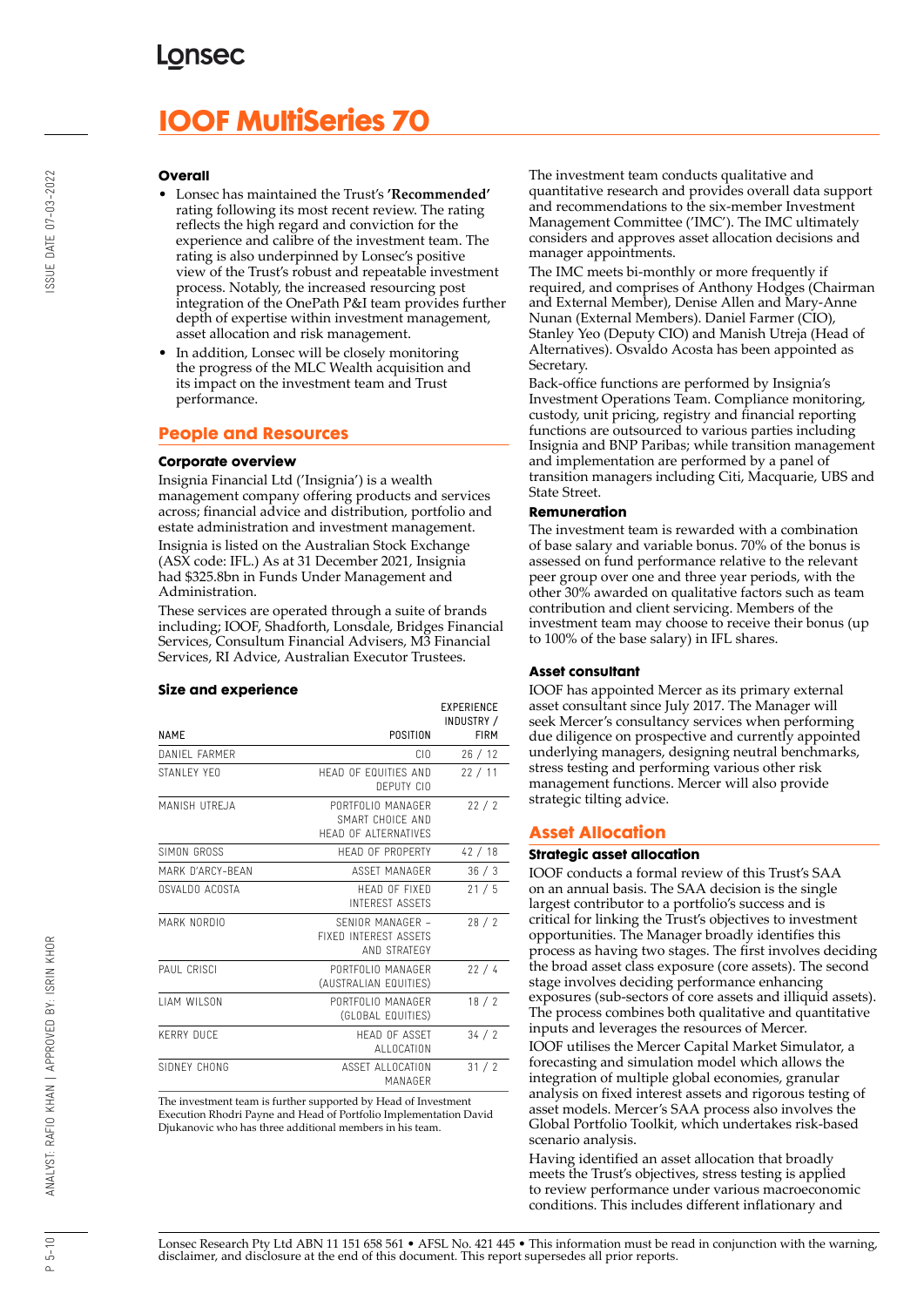# **IOOF MultiSeries 70**

#### **Overall**

- Lonsec has maintained the Trust's **'Recommended'** rating following its most recent review. The rating reflects the high regard and conviction for the experience and calibre of the investment team. The rating is also underpinned by Lonsec's positive view of the Trust's robust and repeatable investment process. Notably, the increased resourcing post integration of the OnePath P&I team provides further depth of expertise within investment management, asset allocation and risk management.
- In addition, Lonsec will be closely monitoring the progress of the MLC Wealth acquisition and its impact on the investment team and Trust performance.

#### **People and Resources**

#### **Corporate overview**

Insignia Financial Ltd ('Insignia') is a wealth management company offering products and services across; financial advice and distribution, portfolio and estate administration and investment management. Insignia is listed on the Australian Stock Exchange (ASX code: IFL.) As at 31 December 2021, Insignia had \$325.8bn in Funds Under Management and Administration.

These services are operated through a suite of brands including; IOOF, Shadforth, Lonsdale, Bridges Financial Services, Consultum Financial Advisers, M3 Financial Services, RI Advice, Australian Executor Trustees.

#### **Size and experience**

|                     |                                                                      | <b>EXPERIENCE</b><br>INDUSTRY / |
|---------------------|----------------------------------------------------------------------|---------------------------------|
| <b>NAME</b>         | POSITION                                                             | <b>FIRM</b>                     |
| DANIFI FARMER       | CIO                                                                  | 26/12                           |
| STANI FY YFO        | HEAD OF FOUITIES AND<br>DEPUTY CIO                                   | 22/11                           |
| MANISH UTREJA       | PORTFOLIO MANAGER<br>SMART CHOICF AND<br><b>HEAD OF ALTERNATIVES</b> | 22/2                            |
| SIMON GROSS         | HFAD OF PROPFRTY                                                     | 42/18                           |
| MARK D'ARCY-BFAN    | ASSFT MANAGER                                                        | 36/3                            |
| OSVALDO ACOSTA      | HFAD OF FIXED<br><b>INTEREST ASSETS</b>                              | 21/5                            |
| MARK NORDIO         | SENIOR MANAGER -<br><b>FIXED INTEREST ASSETS</b><br>AND STRATEGY     | 28/2                            |
| PAUL CRISCI         | PORTFOLIO MANAGER<br>(AUSTRALIAN EQUITIES)                           | 22/4                            |
| <b>I IAM WILSON</b> | PORTFOLIO MANAGFR<br>(GLOBAL EQUITIES)                               | 18/2                            |
| <b>KERRY DUCF</b>   | <b>HFAD OF ASSFT</b><br>ALLOCATION                                   | 34/2                            |
| SIDNEY CHONG        | ASSET ALLOCATION<br>MANAGFR                                          | 31/2                            |

The investment team is further supported by Head of Investment Execution Rhodri Payne and Head of Portfolio Implementation David Djukanovic who has three additional members in his team.

The investment team conducts qualitative and quantitative research and provides overall data support and recommendations to the six-member Investment Management Committee ('IMC'). The IMC ultimately considers and approves asset allocation decisions and manager appointments.

The IMC meets bi-monthly or more frequently if required, and comprises of Anthony Hodges (Chairman and External Member), Denise Allen and Mary-Anne Nunan (External Members). Daniel Farmer (CIO), Stanley Yeo (Deputy CIO) and Manish Utreja (Head of Alternatives). Osvaldo Acosta has been appointed as Secretary.

Back-office functions are performed by Insignia's Investment Operations Team. Compliance monitoring, custody, unit pricing, registry and financial reporting functions are outsourced to various parties including Insignia and BNP Paribas; while transition management and implementation are performed by a panel of transition managers including Citi, Macquarie, UBS and State Street.

#### **Remuneration**

The investment team is rewarded with a combination of base salary and variable bonus. 70% of the bonus is assessed on fund performance relative to the relevant peer group over one and three year periods, with the other 30% awarded on qualitative factors such as team contribution and client servicing. Members of the investment team may choose to receive their bonus (up to 100% of the base salary) in IFL shares.

#### **Asset consultant**

IOOF has appointed Mercer as its primary external asset consultant since July 2017. The Manager will seek Mercer's consultancy services when performing due diligence on prospective and currently appointed underlying managers, designing neutral benchmarks, stress testing and performing various other risk management functions. Mercer will also provide strategic tilting advice.

#### **Asset Allocation**

#### **Strategic asset allocation**

IOOF conducts a formal review of this Trust's SAA on an annual basis. The SAA decision is the single largest contributor to a portfolio's success and is critical for linking the Trust's objectives to investment opportunities. The Manager broadly identifies this process as having two stages. The first involves deciding the broad asset class exposure (core assets). The second stage involves deciding performance enhancing exposures (sub-sectors of core assets and illiquid assets). The process combines both qualitative and quantitative inputs and leverages the resources of Mercer.

IOOF utilises the Mercer Capital Market Simulator, a forecasting and simulation model which allows the integration of multiple global economies, granular analysis on fixed interest assets and rigorous testing of asset models. Mercer's SAA process also involves the Global Portfolio Toolkit, which undertakes risk-based scenario analysis.

Having identified an asset allocation that broadly meets the Trust's objectives, stress testing is applied to review performance under various macroeconomic conditions. This includes different inflationary and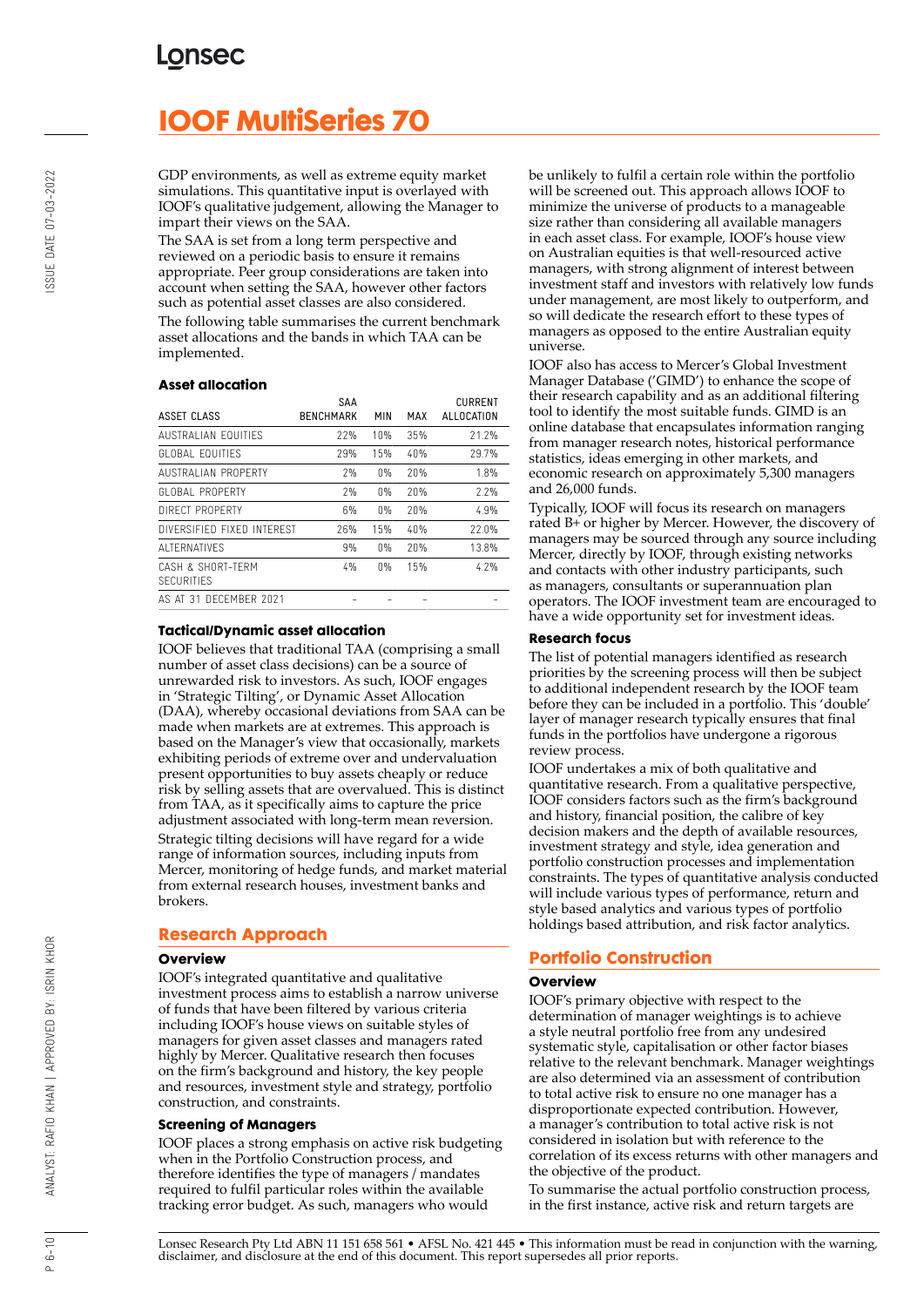# **IOOF MultiSeries 70**

GDP environments, as well as extreme equity market simulations. This quantitative input is overlayed with IOOF's qualitative judgement, allowing the Manager to impart their views on the SAA.

The SAA is set from a long term perspective and reviewed on a periodic basis to ensure it remains appropriate. Peer group considerations are taken into account when setting the SAA, however other factors such as potential asset classes are also considered. The following table summarises the current benchmark asset allocations and the bands in which TAA can be implemented.

#### **Asset allocation**

|                                        | SAA              |       |     | <b>CURRENT</b> |
|----------------------------------------|------------------|-------|-----|----------------|
| ASSET CLASS                            | <b>BENCHMARK</b> | MIN   | MAX | ALLOCATION     |
| AUSTRALIAN EQUITIES                    | 22%              | 10%   | 35% | 21.2%          |
| <b>GLOBAL EQUITIFS</b>                 | 29%              | 15%   | 40% | 29.7%          |
| AUSTRALIAN PROPERTY                    | 7%               | 0%    | 20% | 1.8%           |
| GLOBAL PROPERTY                        | 7%               | $0\%$ | 20% | 2.2%           |
| DIRECT PROPERTY                        | 6%               | 0%    | 20% | 4.9%           |
| DIVERSIFIED FIXED INTERFST             | 26%              | 15%   | 40% | 22.0%          |
| ALTERNATIVES                           | 9%               | 0%    | 20% | 13.8%          |
| CASH & SHORT-TFRM<br><b>SECURITIES</b> | 4%               | 0%    | 15% | 4.7%           |
| AS AT 31 DECEMBER 2021                 |                  |       |     |                |

#### **Tactical/Dynamic asset allocation**

IOOF believes that traditional TAA (comprising a small number of asset class decisions) can be a source of unrewarded risk to investors. As such, IOOF engages in 'Strategic Tilting', or Dynamic Asset Allocation (DAA), whereby occasional deviations from SAA can be made when markets are at extremes. This approach is based on the Manager's view that occasionally, markets exhibiting periods of extreme over and undervaluation present opportunities to buy assets cheaply or reduce risk by selling assets that are overvalued. This is distinct from TAA, as it specifically aims to capture the price adjustment associated with long-term mean reversion. Strategic tilting decisions will have regard for a wide range of information sources, including inputs from Mercer, monitoring of hedge funds, and market material from external research houses, investment banks and brokers.

#### **Research Approach**

#### **Overview**

IOOF's integrated quantitative and qualitative investment process aims to establish a narrow universe of funds that have been filtered by various criteria including IOOF's house views on suitable styles of managers for given asset classes and managers rated highly by Mercer. Qualitative research then focuses on the firm's background and history, the key people and resources, investment style and strategy, portfolio construction, and constraints.

#### **Screening of Managers**

IOOF places a strong emphasis on active risk budgeting when in the Portfolio Construction process, and therefore identifies the type of managers / mandates required to fulfil particular roles within the available tracking error budget. As such, managers who would

be unlikely to fulfil a certain role within the portfolio will be screened out. This approach allows IOOF to minimize the universe of products to a manageable size rather than considering all available managers in each asset class. For example, IOOF's house view on Australian equities is that well-resourced active managers, with strong alignment of interest between investment staff and investors with relatively low funds under management, are most likely to outperform, and so will dedicate the research effort to these types of managers as opposed to the entire Australian equity universe.

IOOF also has access to Mercer's Global Investment Manager Database ('GIMD') to enhance the scope of their research capability and as an additional filtering tool to identify the most suitable funds. GIMD is an online database that encapsulates information ranging from manager research notes, historical performance statistics, ideas emerging in other markets, and economic research on approximately 5,300 managers and 26,000 funds.

Typically, IOOF will focus its research on managers rated B+ or higher by Mercer. However, the discovery of managers may be sourced through any source including Mercer, directly by IOOF, through existing networks and contacts with other industry participants, such as managers, consultants or superannuation plan operators. The IOOF investment team are encouraged to have a wide opportunity set for investment ideas.

#### **Research focus**

The list of potential managers identified as research priorities by the screening process will then be subject to additional independent research by the IOOF team before they can be included in a portfolio. This 'double' layer of manager research typically ensures that final funds in the portfolios have undergone a rigorous review process.

IOOF undertakes a mix of both qualitative and quantitative research. From a qualitative perspective, IOOF considers factors such as the firm's background and history, financial position, the calibre of key decision makers and the depth of available resources, investment strategy and style, idea generation and portfolio construction processes and implementation constraints. The types of quantitative analysis conducted will include various types of performance, return and style based analytics and various types of portfolio holdings based attribution, and risk factor analytics.

#### **Portfolio Construction**

#### **Overview**

IOOF's primary objective with respect to the determination of manager weightings is to achieve a style neutral portfolio free from any undesired systematic style, capitalisation or other factor biases relative to the relevant benchmark. Manager weightings are also determined via an assessment of contribution to total active risk to ensure no one manager has a disproportionate expected contribution. However, a manager's contribution to total active risk is not considered in isolation but with reference to the correlation of its excess returns with other managers and the objective of the product.

To summarise the actual portfolio construction process, in the first instance, active risk and return targets are

Lonsec Research Pty Ltd ABN 11 151 658 561 • AFSL No. 421 445 • This information must be read in conjunction with the warning, disclaimer, and disclosure at the end of this document. This report supersedes all prior reports.

 $P 6 - 10$ 

BY: ISRIN KHOR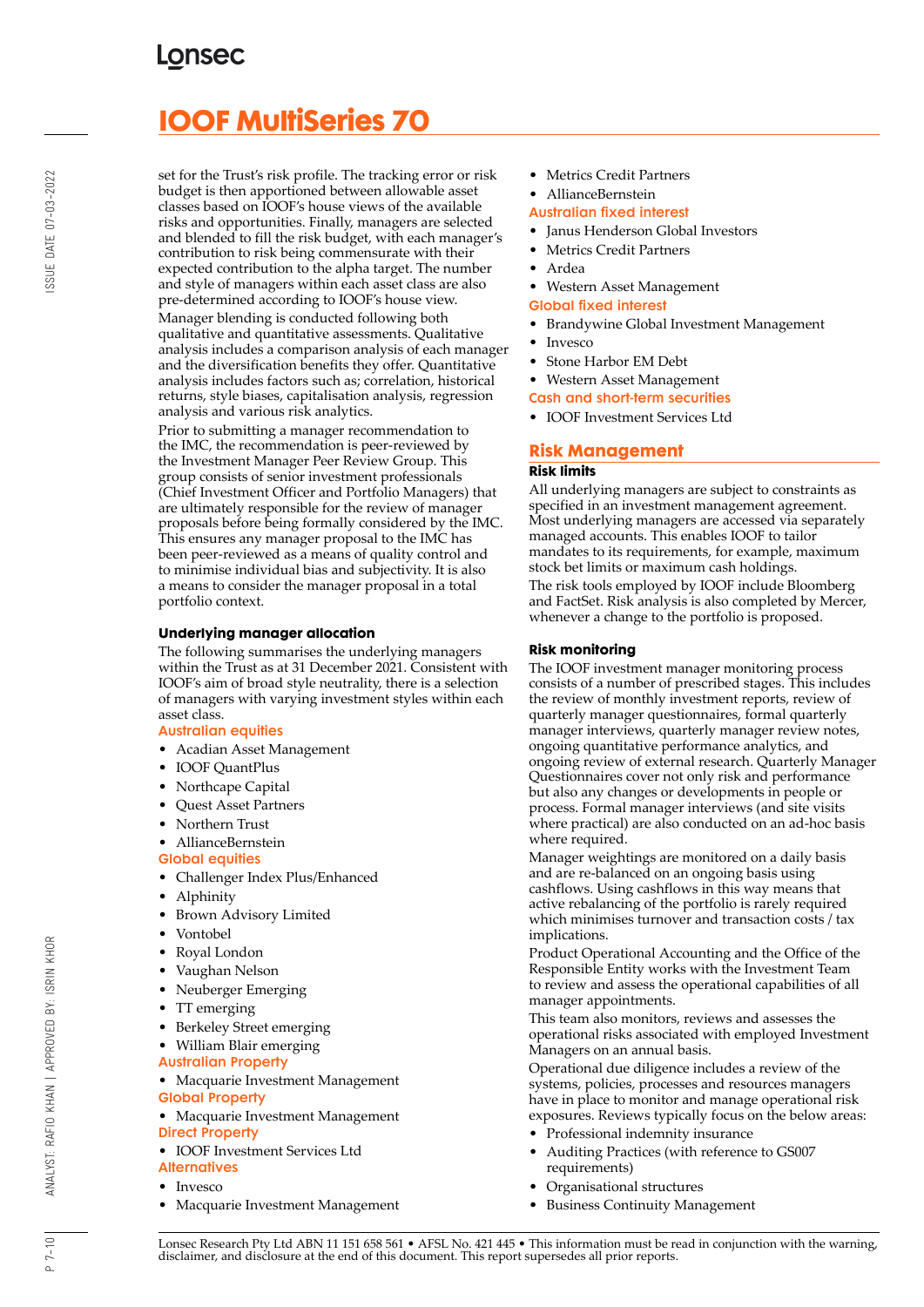# **IOOF MultiSeries 70**

set for the Trust's risk profile. The tracking error or risk budget is then apportioned between allowable asset classes based on IOOF's house views of the available risks and opportunities. Finally, managers are selected and blended to fill the risk budget, with each manager's contribution to risk being commensurate with their expected contribution to the alpha target. The number and style of managers within each asset class are also pre-determined according to IOOF's house view. Manager blending is conducted following both qualitative and quantitative assessments. Qualitative analysis includes a comparison analysis of each manager and the diversification benefits they offer. Quantitative analysis includes factors such as; correlation, historical returns, style biases, capitalisation analysis, regression analysis and various risk analytics.

Prior to submitting a manager recommendation to the IMC, the recommendation is peer-reviewed by the Investment Manager Peer Review Group. This group consists of senior investment professionals (Chief Investment Officer and Portfolio Managers) that are ultimately responsible for the review of manager proposals before being formally considered by the IMC. This ensures any manager proposal to the IMC has been peer-reviewed as a means of quality control and to minimise individual bias and subjectivity. It is also a means to consider the manager proposal in a total portfolio context.

#### **Underlying manager allocation**

The following summarises the underlying managers within the Trust as at 31 December 2021. Consistent with IOOF's aim of broad style neutrality, there is a selection of managers with varying investment styles within each asset class.

#### Australian equities

- Acadian Asset Management
- IOOF QuantPlus
- Northcape Capital
- Quest Asset Partners
- Northern Trust

• AllianceBernstein Global equities

- Challenger Index Plus/Enhanced
- Alphinity
- Brown Advisory Limited
- Vontobel
- Royal London
- Vaughan Nelson
- Neuberger Emerging
- TT emerging
- Berkeley Street emerging
- William Blair emerging
- Australian Property
- Macquarie Investment Management Global Property
- Macquarie Investment Management Direct Property
- IOOF Investment Services Ltd **Alternatives**
- Invesco
- Macquarie Investment Management
- Metrics Credit Partners
- AllianceBernstein
- Australian fixed interest
- Janus Henderson Global Investors
- Metrics Credit Partners
- Ardea
- Western Asset Management
- Global fixed interest
- Brandywine Global Investment Management
- Invesco
- Stone Harbor EM Debt

• Western Asset Management

Cash and short-term securities

• IOOF Investment Services Ltd

### **Risk Management Risk limits**

All underlying managers are subject to constraints as specified in an investment management agreement. Most underlying managers are accessed via separately managed accounts. This enables IOOF to tailor mandates to its requirements, for example, maximum stock bet limits or maximum cash holdings.

The risk tools employed by IOOF include Bloomberg and FactSet. Risk analysis is also completed by Mercer, whenever a change to the portfolio is proposed.

#### **Risk monitoring**

The IOOF investment manager monitoring process consists of a number of prescribed stages. This includes the review of monthly investment reports, review of quarterly manager questionnaires, formal quarterly manager interviews, quarterly manager review notes, ongoing quantitative performance analytics, and ongoing review of external research. Quarterly Manager Questionnaires cover not only risk and performance but also any changes or developments in people or process. Formal manager interviews (and site visits where practical) are also conducted on an ad-hoc basis where required.

Manager weightings are monitored on a daily basis and are re-balanced on an ongoing basis using cashflows. Using cashflows in this way means that active rebalancing of the portfolio is rarely required which minimises turnover and transaction costs / tax implications.

Product Operational Accounting and the Office of the Responsible Entity works with the Investment Team to review and assess the operational capabilities of all manager appointments.

This team also monitors, reviews and assesses the operational risks associated with employed Investment Managers on an annual basis.

Operational due diligence includes a review of the systems, policies, processes and resources managers have in place to monitor and manage operational risk exposures. Reviews typically focus on the below areas:

- Professional indemnity insurance
- Auditing Practices (with reference to GS007 requirements)
- Organisational structures
- Business Continuity Management

Lonsec Research Pty Ltd ABN 11 151 658 561 • AFSL No. 421 445 • This information must be read in conjunction with the warning, disclaimer, and disclosure at the end of this document. This report supersedes all prior reports.

BY: ISRIN KHOR

ANALYST: RAFIO KHAN | APPROVED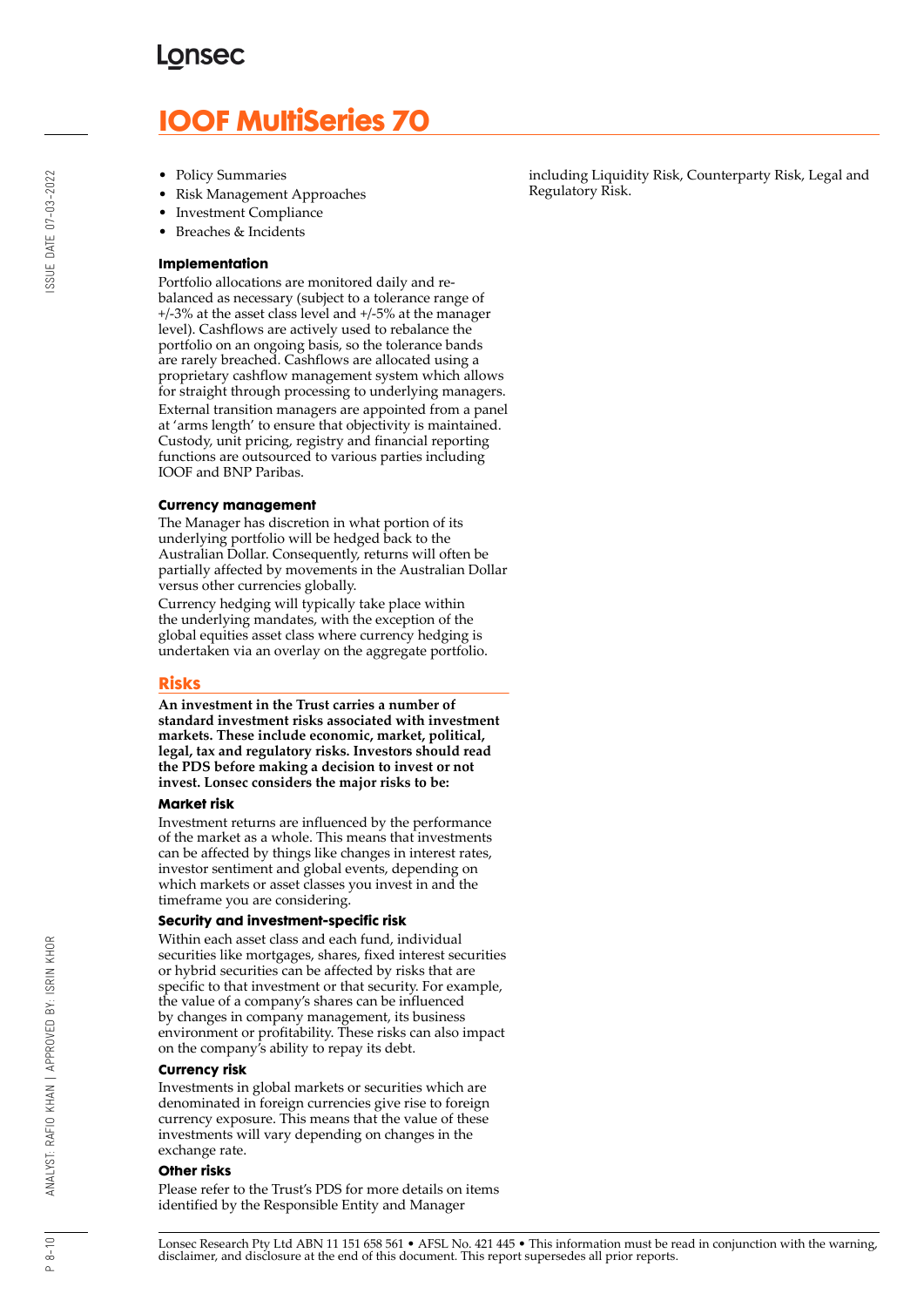# **IOOF MultiSeries 70**

- Policy Summaries
- Risk Management Approaches
- Investment Compliance
- Breaches & Incidents

#### **Implementation**

Portfolio allocations are monitored daily and rebalanced as necessary (subject to a tolerance range of +/-3% at the asset class level and +/-5% at the manager level). Cashflows are actively used to rebalance the portfolio on an ongoing basis, so the tolerance bands are rarely breached. Cashflows are allocated using a proprietary cashflow management system which allows for straight through processing to underlying managers. External transition managers are appointed from a panel at 'arms length' to ensure that objectivity is maintained. Custody, unit pricing, registry and financial reporting functions are outsourced to various parties including IOOF and BNP Paribas.

#### **Currency management**

The Manager has discretion in what portion of its underlying portfolio will be hedged back to the Australian Dollar. Consequently, returns will often be partially affected by movements in the Australian Dollar versus other currencies globally.

Currency hedging will typically take place within the underlying mandates, with the exception of the global equities asset class where currency hedging is undertaken via an overlay on the aggregate portfolio.

#### **Risks**

**An investment in the Trust carries a number of standard investment risks associated with investment markets. These include economic, market, political, legal, tax and regulatory risks. Investors should read the PDS before making a decision to invest or not invest. Lonsec considers the major risks to be:**

#### **Market risk**

Investment returns are influenced by the performance of the market as a whole. This means that investments can be affected by things like changes in interest rates, investor sentiment and global events, depending on which markets or asset classes you invest in and the timeframe you are considering.

#### **Security and investment-specific risk**

Within each asset class and each fund, individual securities like mortgages, shares, fixed interest securities or hybrid securities can be affected by risks that are specific to that investment or that security. For example, the value of a company's shares can be influenced by changes in company management, its business environment or profitability. These risks can also impact on the company's ability to repay its debt.

#### **Currency risk**

Investments in global markets or securities which are denominated in foreign currencies give rise to foreign currency exposure. This means that the value of these investments will vary depending on changes in the exchange rate.

#### **Other risks**

Please refer to the Trust's PDS for more details on items identified by the Responsible Entity and Manager

including Liquidity Risk, Counterparty Risk, Legal and Regulatory Risk.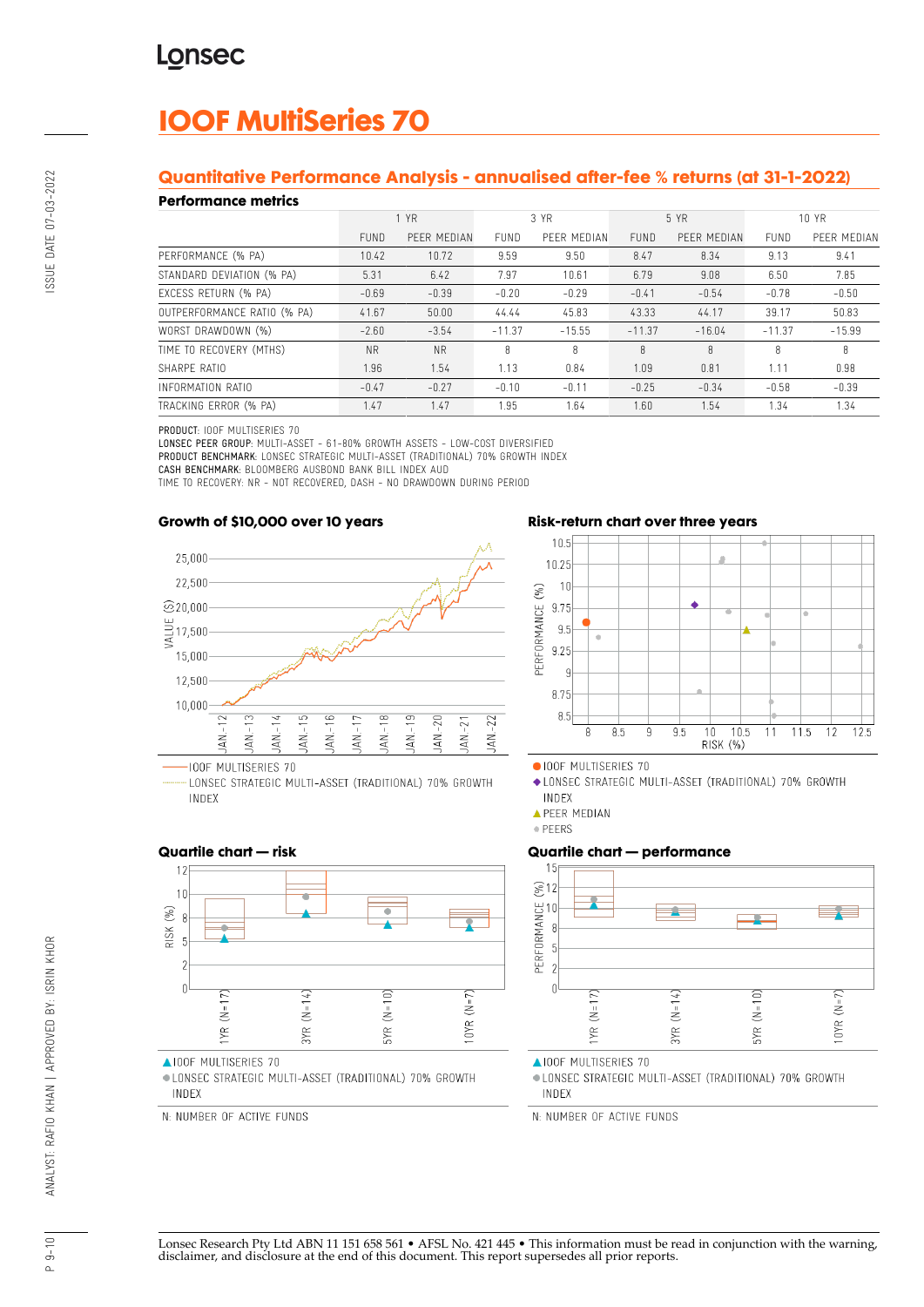# **IOOF MultiSeries 70**

## **Quantitative Performance Analysis - annualised after-fee % returns (at 31-1-2022)**

#### **Performance metrics**

| . YN SITTINISY MITHY        |             |             |             |             |             |             |             |             |
|-----------------------------|-------------|-------------|-------------|-------------|-------------|-------------|-------------|-------------|
|                             | 1 YR        |             | 3 YR        |             | 5 YR        |             | 10 YR       |             |
|                             | <b>FUND</b> | PEER MEDIAN | <b>FUND</b> | PEER MEDIAN | <b>FUND</b> | PEER MEDIAN | <b>FUND</b> | PEER MEDIAN |
| PERFORMANCE (% PA)          | 10.42       | 10.72       | 9.59        | 9.50        | 8.47        | 8.34        | 9.13        | 9.41        |
| STANDARD DEVIATION (% PA)   | 5.31        | 6.42        | 7.97        | 10.61       | 6.79        | 9.08        | 6.50        | 7.85        |
| EXCESS RETURN (% PA)        | $-0.69$     | $-0.39$     | $-0.20$     | $-0.29$     | $-0.41$     | $-0.54$     | $-0.78$     | $-0.50$     |
| OUTPERFORMANCE RATIO (% PA) | 41.67       | 50.00       | 44.44       | 45.83       | 43.33       | 44.17       | 39.17       | 50.83       |
| WORST DRAWDOWN (%)          | $-2.60$     | $-3.54$     | $-11.37$    | $-15.55$    | $-11.37$    | $-16.04$    | $-11.37$    | $-15.99$    |
| TIME TO RECOVERY (MTHS)     | <b>NR</b>   | <b>NR</b>   | 8           | 8           | 8           | 8           | 8           | 8           |
| SHARPE RATIO                | 1.96        | 1.54        | 1.13        | 0.84        | 1.09        | 0.81        | 1.11        | 0.98        |
| INFORMATION RATIO           | $-0.47$     | $-0.27$     | $-0.10$     | $-0.11$     | $-0.25$     | $-0.34$     | $-0.58$     | $-0.39$     |
| TRACKING ERROR (% PA)       | 1.47        | 1.47        | 1.95        | 1.64        | 1.60        | 1.54        | 1.34        | 1.34        |

#### PRODUCT: IOOF MULTISERIES 70

LONSEC PEER GROUP: MULTI-ASSET - 61-80% GROWTH ASSETS - LOW-COST DIVERSIFIED PRODUCT BENCHMARK: LONSEC STRATEGIC MULTI-ASSET (TRADITIONAL) 70% GROWTH INDEX CASH BENCHMARK: BLOOMBERG AUSBOND BANK BILL INDEX AUD

TIME TO RECOVERY: NR - NOT RECOVERED, DASH - NO DRAWDOWN DURING PERIOD

## **Growth of \$10,000 over 10 years**



LONSEC STRATEGIC MULTI-ASSET (TRADITIONAL) 70% GROWTH INDEX

#### **Risk-return chart over three years**



OIOOF MULTISERIES 70

◆ LONSEC STRATEGIC MULTI-ASSET (TRADITIONAL) 70% GROWTH INDEX

**APEER MEDIAN** 

· PEERS

#### **Quartile chart — performance**



▲IOOF MULTISERIES 70

· LONSEC STRATEGIC MULTI-ASSET (TRADITIONAL) 70% GROWTH INDEX

N: NUMBER OF ACTIVE FUNDS

#### **Quartile chart — risk**



▲IOOF MULTISERIES 70

· LONSEC STRATEGIC MULTI-ASSET (TRADITIONAL) 70% GROWTH INDEX

N: NUMBER OF ACTIVE FUNDS

# SSUE DATE 07-03-2022